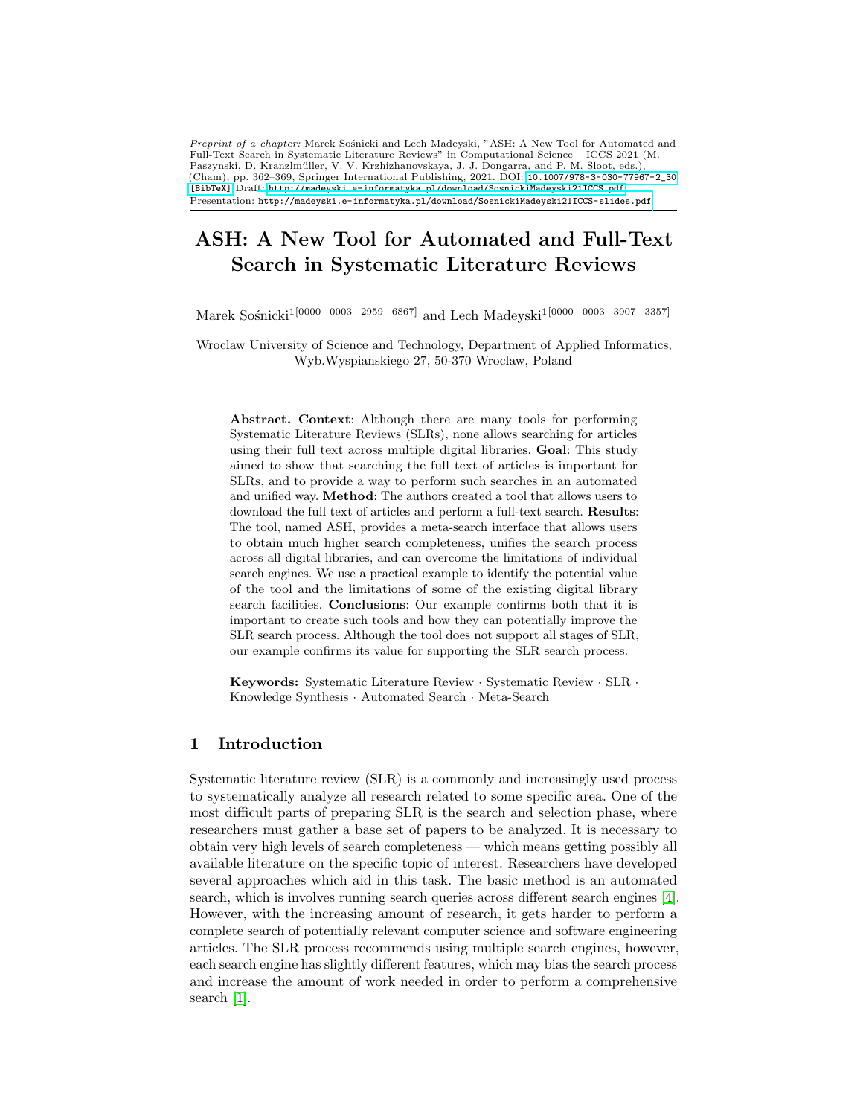Preprint of a chapter: Marek Sośnicki and Lech Madeyski, "ASH: A New Tool for Automated and Full-Text Search in Systematic Literature Reviews" in Computational Science – ICCS 2021 (M. Paszynski, D. Kranzlmüller, V. V. Krzhizhanovskaya, J. J. Dongarra, and P. M. Sloot, eds.), (Cham), pp. 362–369, Springer International Publishing, 2021. DOI: [10.1007/978-3-030-77967-2\\_30](http://dx.doi.org/10.1007/978-3-030-77967-2_30) [\[BibTeX\]](http://madeyski.e-informatyka.pl/download/MadeyskiRefs.bib) Draft: <http://madeyski.e-informatyka.pl/download/SosnickiMadeyski21ICCS.pdf> Presentation: <http://madeyski.e-informatyka.pl/download/SosnickiMadeyski21ICCS-slides.pdf>

# ASH: A New Tool for Automated and Full-Text Search in Systematic Literature Reviews

Marek Sośnicki<sup>1[0000–0003–2959–6867]</sup> and Lech Madeyski<sup>1[0000–0003–3907–3357]</sup>

Wroclaw University of Science and Technology, Department of Applied Informatics, Wyb.Wyspianskiego 27, 50-370 Wroclaw, Poland

Abstract. Context: Although there are many tools for performing Systematic Literature Reviews (SLRs), none allows searching for articles using their full text across multiple digital libraries. Goal: This study aimed to show that searching the full text of articles is important for SLRs, and to provide a way to perform such searches in an automated and unified way. Method: The authors created a tool that allows users to download the full text of articles and perform a full-text search. Results: The tool, named ASH, provides a meta-search interface that allows users to obtain much higher search completeness, unifies the search process across all digital libraries, and can overcome the limitations of individual search engines. We use a practical example to identify the potential value of the tool and the limitations of some of the existing digital library search facilities. Conclusions: Our example confirms both that it is important to create such tools and how they can potentially improve the SLR search process. Although the tool does not support all stages of SLR, our example confirms its value for supporting the SLR search process.

Keywords: Systematic Literature Review · Systematic Review · SLR · Knowledge Synthesis · Automated Search · Meta-Search

## 1 Introduction

Systematic literature review (SLR) is a commonly and increasingly used process to systematically analyze all research related to some specific area. One of the most difficult parts of preparing SLR is the search and selection phase, where researchers must gather a base set of papers to be analyzed. It is necessary to obtain very high levels of search completeness — which means getting possibly all available literature on the specific topic of interest. Researchers have developed several approaches which aid in this task. The basic method is an automated search, which is involves running search queries across different search engines [\[4\]](#page-6-0). However, with the increasing amount of research, it gets harder to perform a complete search of potentially relevant computer science and software engineering articles. The SLR process recommends using multiple search engines, however, each search engine has slightly different features, which may bias the search process and increase the amount of work needed in order to perform a comprehensive search [\[1\]](#page-5-0).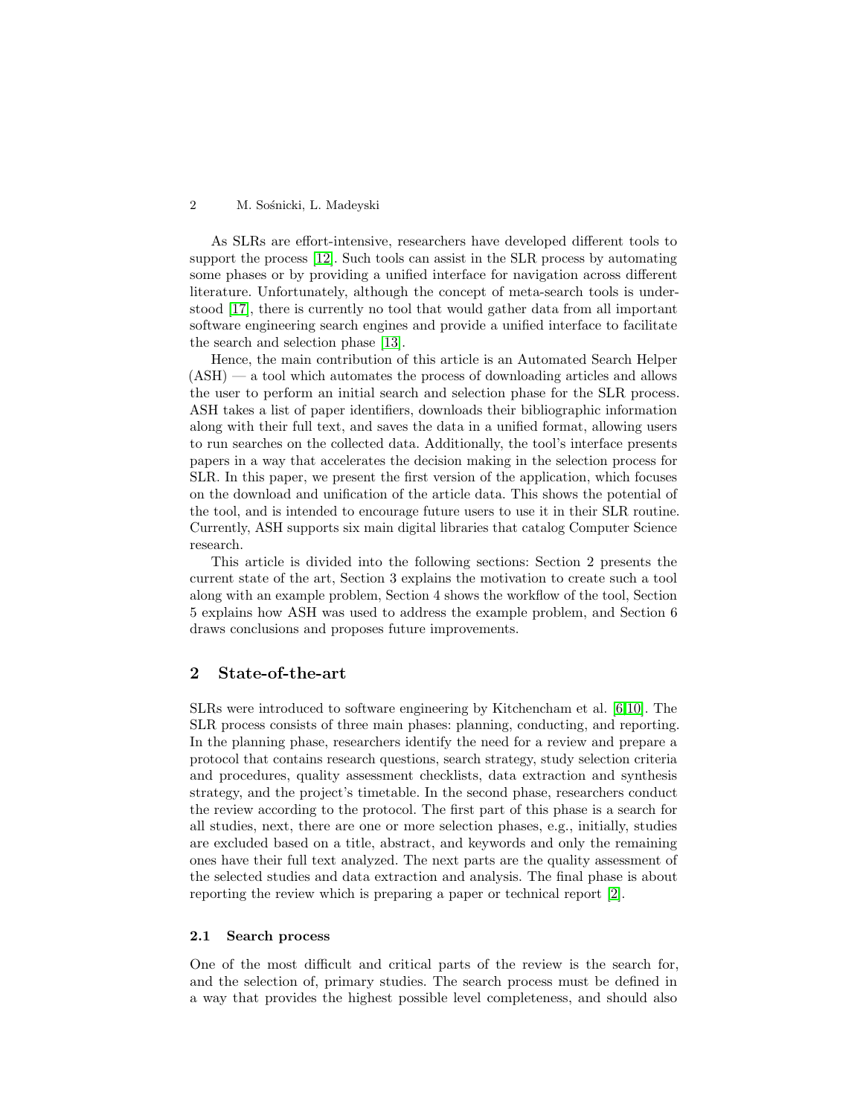#### 2 M. Sośnicki, L. Madeyski

As SLRs are effort-intensive, researchers have developed different tools to support the process [\[12\]](#page-6-1). Such tools can assist in the SLR process by automating some phases or by providing a unified interface for navigation across different literature. Unfortunately, although the concept of meta-search tools is understood [\[17\]](#page-6-2), there is currently no tool that would gather data from all important software engineering search engines and provide a unified interface to facilitate the search and selection phase [\[13\]](#page-6-3).

Hence, the main contribution of this article is an Automated Search Helper  $(ASH)$  — a tool which automates the process of downloading articles and allows the user to perform an initial search and selection phase for the SLR process. ASH takes a list of paper identifiers, downloads their bibliographic information along with their full text, and saves the data in a unified format, allowing users to run searches on the collected data. Additionally, the tool's interface presents papers in a way that accelerates the decision making in the selection process for SLR. In this paper, we present the first version of the application, which focuses on the download and unification of the article data. This shows the potential of the tool, and is intended to encourage future users to use it in their SLR routine. Currently, ASH supports six main digital libraries that catalog Computer Science research.

This article is divided into the following sections: Section 2 presents the current state of the art, Section 3 explains the motivation to create such a tool along with an example problem, Section 4 shows the workflow of the tool, Section 5 explains how ASH was used to address the example problem, and Section 6 draws conclusions and proposes future improvements.

# 2 State-of-the-art

SLRs were introduced to software engineering by Kitchencham et al. [\[6,](#page-6-4)[10\]](#page-6-5). The SLR process consists of three main phases: planning, conducting, and reporting. In the planning phase, researchers identify the need for a review and prepare a protocol that contains research questions, search strategy, study selection criteria and procedures, quality assessment checklists, data extraction and synthesis strategy, and the project's timetable. In the second phase, researchers conduct the review according to the protocol. The first part of this phase is a search for all studies, next, there are one or more selection phases, e.g., initially, studies are excluded based on a title, abstract, and keywords and only the remaining ones have their full text analyzed. The next parts are the quality assessment of the selected studies and data extraction and analysis. The final phase is about reporting the review which is preparing a paper or technical report [\[2\]](#page-6-6).

### 2.1 Search process

One of the most difficult and critical parts of the review is the search for, and the selection of, primary studies. The search process must be defined in a way that provides the highest possible level completeness, and should also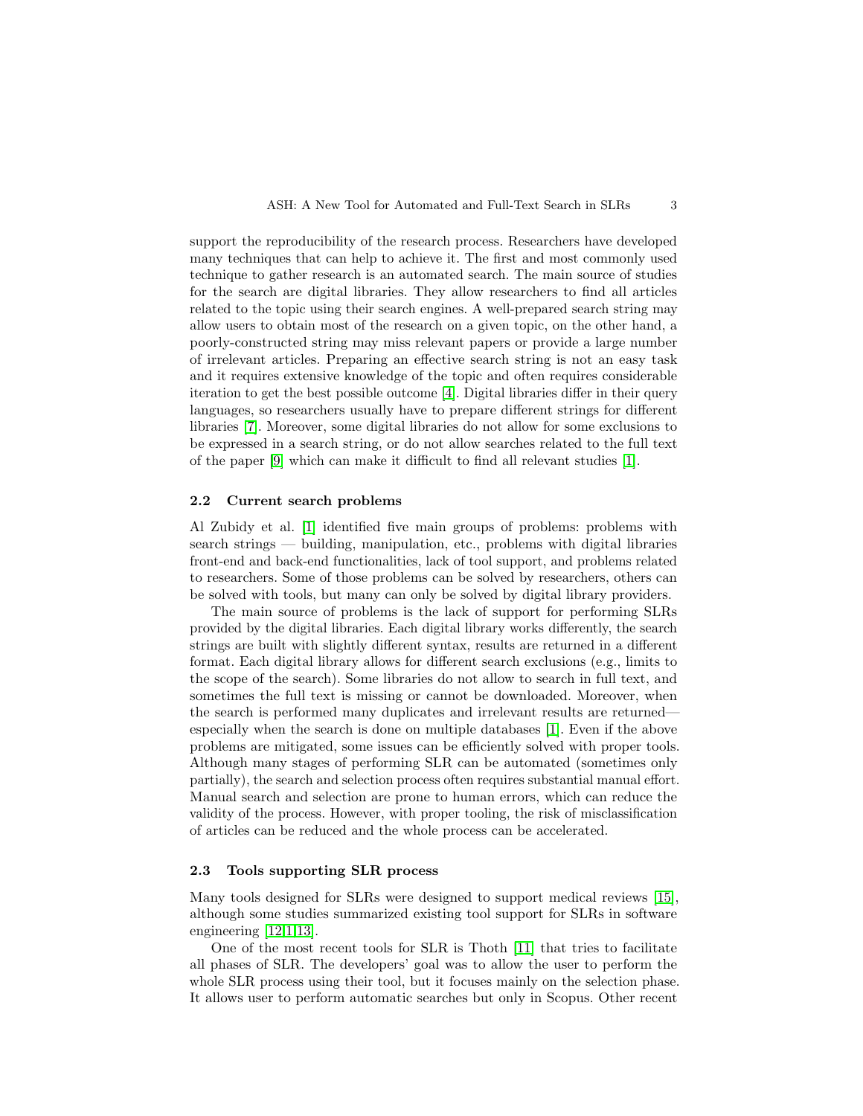support the reproducibility of the research process. Researchers have developed many techniques that can help to achieve it. The first and most commonly used technique to gather research is an automated search. The main source of studies for the search are digital libraries. They allow researchers to find all articles related to the topic using their search engines. A well-prepared search string may allow users to obtain most of the research on a given topic, on the other hand, a poorly-constructed string may miss relevant papers or provide a large number of irrelevant articles. Preparing an effective search string is not an easy task and it requires extensive knowledge of the topic and often requires considerable iteration to get the best possible outcome [\[4\]](#page-6-0). Digital libraries differ in their query languages, so researchers usually have to prepare different strings for different libraries [\[7\]](#page-6-7). Moreover, some digital libraries do not allow for some exclusions to be expressed in a search string, or do not allow searches related to the full text of the paper [\[9\]](#page-6-8) which can make it difficult to find all relevant studies [\[1\]](#page-5-0).

#### 2.2 Current search problems

Al Zubidy et al. [\[1\]](#page-5-0) identified five main groups of problems: problems with search strings — building, manipulation, etc., problems with digital libraries front-end and back-end functionalities, lack of tool support, and problems related to researchers. Some of those problems can be solved by researchers, others can be solved with tools, but many can only be solved by digital library providers.

The main source of problems is the lack of support for performing SLRs provided by the digital libraries. Each digital library works differently, the search strings are built with slightly different syntax, results are returned in a different format. Each digital library allows for different search exclusions (e.g., limits to the scope of the search). Some libraries do not allow to search in full text, and sometimes the full text is missing or cannot be downloaded. Moreover, when the search is performed many duplicates and irrelevant results are returned especially when the search is done on multiple databases [\[1\]](#page-5-0). Even if the above problems are mitigated, some issues can be efficiently solved with proper tools. Although many stages of performing SLR can be automated (sometimes only partially), the search and selection process often requires substantial manual effort. Manual search and selection are prone to human errors, which can reduce the validity of the process. However, with proper tooling, the risk of misclassification of articles can be reduced and the whole process can be accelerated.

### 2.3 Tools supporting SLR process

Many tools designed for SLRs were designed to support medical reviews [\[15\]](#page-6-9), although some studies summarized existing tool support for SLRs in software engineering [\[12,](#page-6-1)[1,](#page-5-0)[13\]](#page-6-3).

One of the most recent tools for SLR is Thoth [\[11\]](#page-6-10) that tries to facilitate all phases of SLR. The developers' goal was to allow the user to perform the whole SLR process using their tool, but it focuses mainly on the selection phase. It allows user to perform automatic searches but only in Scopus. Other recent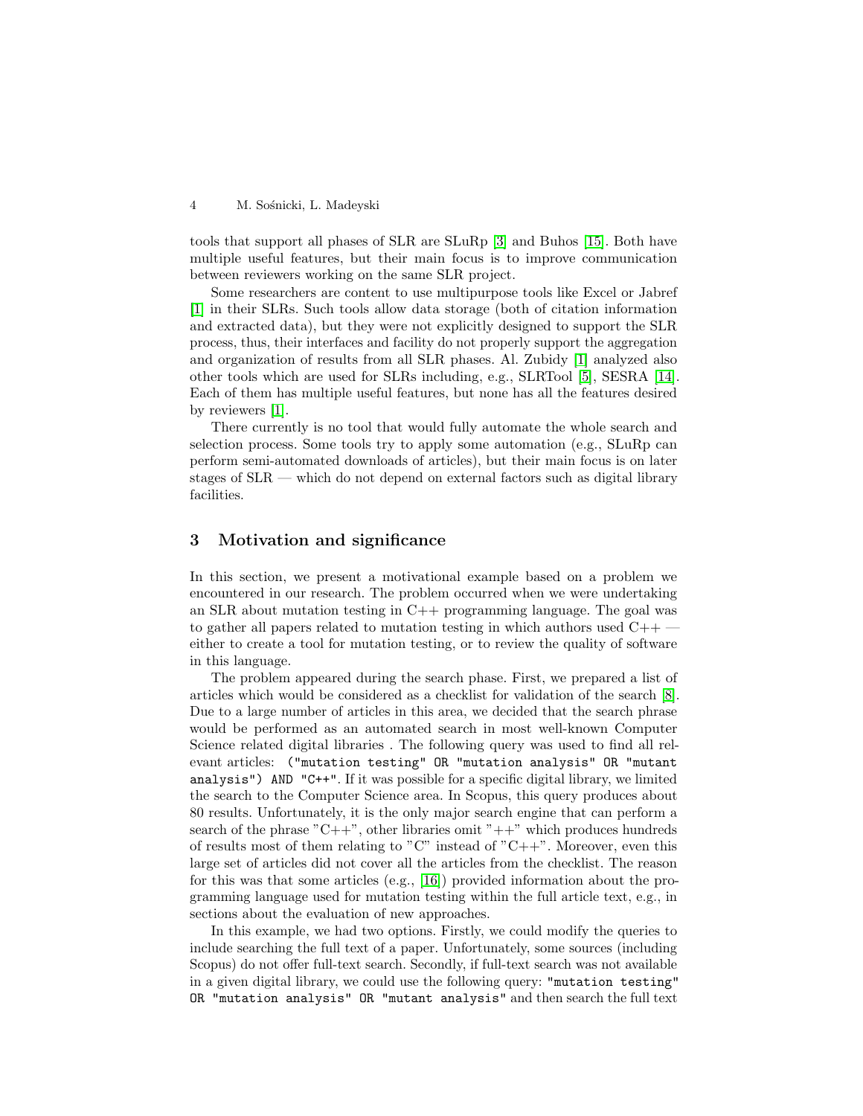#### 4 M. So´snicki, L. Madeyski

tools that support all phases of SLR are SLuRp [\[3\]](#page-6-11) and Buhos [\[15\]](#page-6-9). Both have multiple useful features, but their main focus is to improve communication between reviewers working on the same SLR project.

Some researchers are content to use multipurpose tools like Excel or Jabref [\[1\]](#page-5-0) in their SLRs. Such tools allow data storage (both of citation information and extracted data), but they were not explicitly designed to support the SLR process, thus, their interfaces and facility do not properly support the aggregation and organization of results from all SLR phases. Al. Zubidy [\[1\]](#page-5-0) analyzed also other tools which are used for SLRs including, e.g., SLRTool [\[5\]](#page-6-12), SESRA [\[14\]](#page-6-13). Each of them has multiple useful features, but none has all the features desired by reviewers [\[1\]](#page-5-0).

There currently is no tool that would fully automate the whole search and selection process. Some tools try to apply some automation (e.g., SLuRp can perform semi-automated downloads of articles), but their main focus is on later stages of SLR — which do not depend on external factors such as digital library facilities.

### <span id="page-3-0"></span>3 Motivation and significance

In this section, we present a motivational example based on a problem we encountered in our research. The problem occurred when we were undertaking an SLR about mutation testing in C++ programming language. The goal was to gather all papers related to mutation testing in which authors used  $C++$ either to create a tool for mutation testing, or to review the quality of software in this language.

The problem appeared during the search phase. First, we prepared a list of articles which would be considered as a checklist for validation of the search [\[8\]](#page-6-14). Due to a large number of articles in this area, we decided that the search phrase would be performed as an automated search in most well-known Computer Science related digital libraries . The following query was used to find all relevant articles: ("mutation testing" OR "mutation analysis" OR "mutant analysis") AND "C++". If it was possible for a specific digital library, we limited the search to the Computer Science area. In Scopus, this query produces about 80 results. Unfortunately, it is the only major search engine that can perform a search of the phrase "C++", other libraries omit "++" which produces hundreds of results most of them relating to " $C$ " instead of " $C++$ ". Moreover, even this large set of articles did not cover all the articles from the checklist. The reason for this was that some articles (e.g., [\[16\]](#page-6-15)) provided information about the programming language used for mutation testing within the full article text, e.g., in sections about the evaluation of new approaches.

In this example, we had two options. Firstly, we could modify the queries to include searching the full text of a paper. Unfortunately, some sources (including Scopus) do not offer full-text search. Secondly, if full-text search was not available in a given digital library, we could use the following query: "mutation testing" OR "mutation analysis" OR "mutant analysis" and then search the full text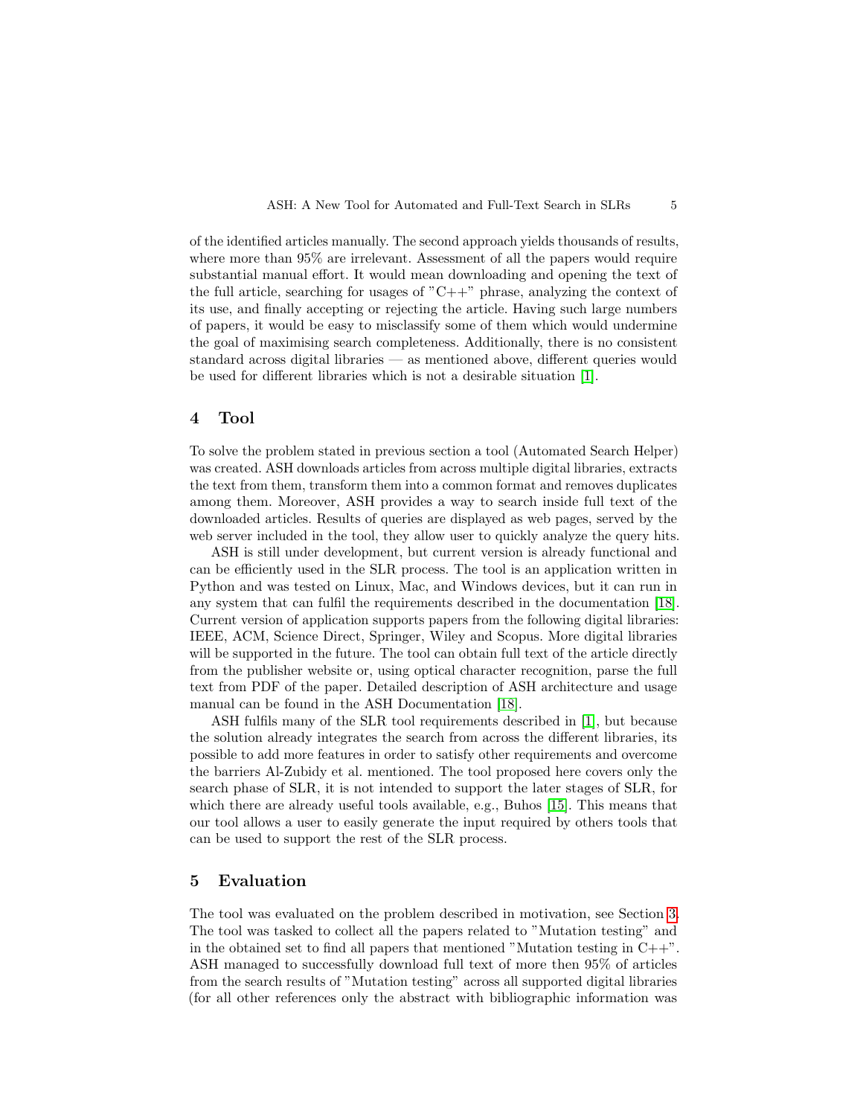of the identified articles manually. The second approach yields thousands of results, where more than 95% are irrelevant. Assessment of all the papers would require substantial manual effort. It would mean downloading and opening the text of the full article, searching for usages of "C++" phrase, analyzing the context of its use, and finally accepting or rejecting the article. Having such large numbers of papers, it would be easy to misclassify some of them which would undermine the goal of maximising search completeness. Additionally, there is no consistent standard across digital libraries — as mentioned above, different queries would be used for different libraries which is not a desirable situation [\[1\]](#page-5-0).

### 4 Tool

To solve the problem stated in previous section a tool (Automated Search Helper) was created. ASH downloads articles from across multiple digital libraries, extracts the text from them, transform them into a common format and removes duplicates among them. Moreover, ASH provides a way to search inside full text of the downloaded articles. Results of queries are displayed as web pages, served by the web server included in the tool, they allow user to quickly analyze the query hits.

ASH is still under development, but current version is already functional and can be efficiently used in the SLR process. The tool is an application written in Python and was tested on Linux, Mac, and Windows devices, but it can run in any system that can fulfil the requirements described in the documentation [\[18\]](#page-6-16). Current version of application supports papers from the following digital libraries: IEEE, ACM, Science Direct, Springer, Wiley and Scopus. More digital libraries will be supported in the future. The tool can obtain full text of the article directly from the publisher website or, using optical character recognition, parse the full text from PDF of the paper. Detailed description of ASH architecture and usage manual can be found in the ASH Documentation [\[18\]](#page-6-16).

ASH fulfils many of the SLR tool requirements described in [\[1\]](#page-5-0), but because the solution already integrates the search from across the different libraries, its possible to add more features in order to satisfy other requirements and overcome the barriers Al-Zubidy et al. mentioned. The tool proposed here covers only the search phase of SLR, it is not intended to support the later stages of SLR, for which there are already useful tools available, e.g., Buhos [\[15\]](#page-6-9). This means that our tool allows a user to easily generate the input required by others tools that can be used to support the rest of the SLR process.

## 5 Evaluation

The tool was evaluated on the problem described in motivation, see Section [3.](#page-3-0) The tool was tasked to collect all the papers related to "Mutation testing" and in the obtained set to find all papers that mentioned "Mutation testing in  $C++$ ". ASH managed to successfully download full text of more then 95% of articles from the search results of "Mutation testing" across all supported digital libraries (for all other references only the abstract with bibliographic information was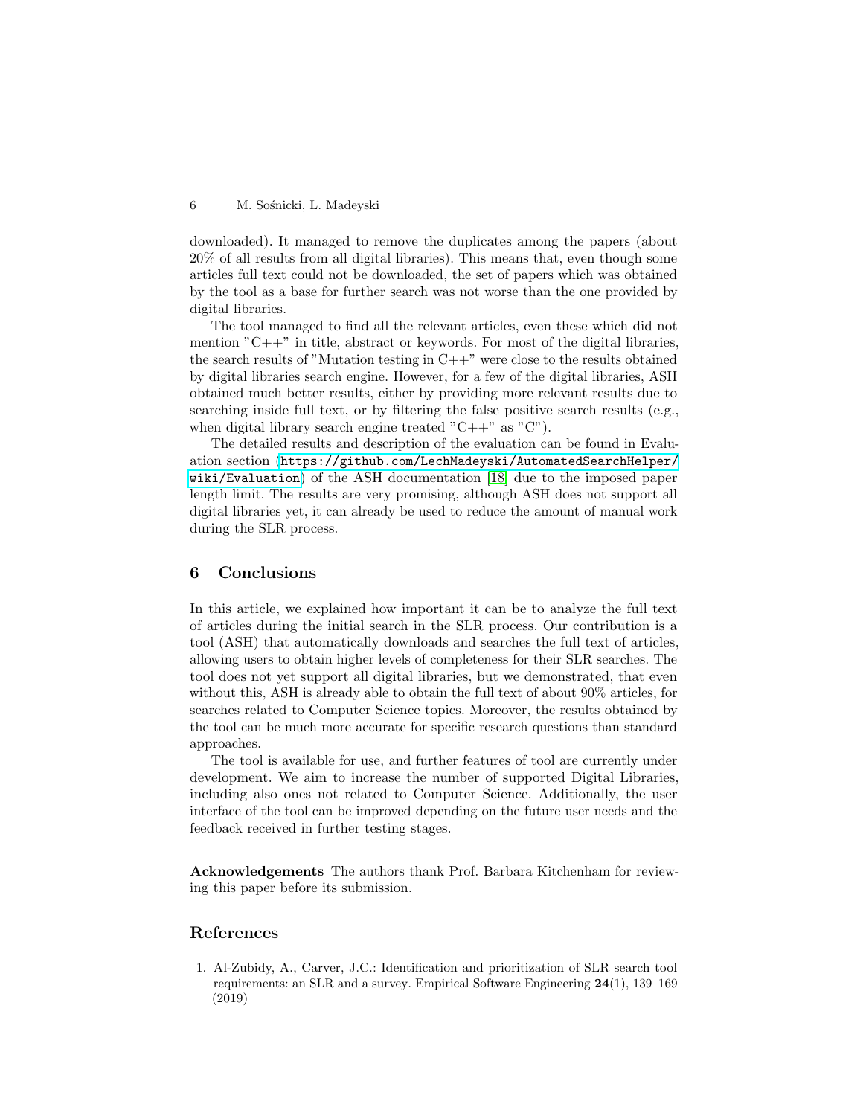#### 6 M. So´snicki, L. Madeyski

downloaded). It managed to remove the duplicates among the papers (about 20% of all results from all digital libraries). This means that, even though some articles full text could not be downloaded, the set of papers which was obtained by the tool as a base for further search was not worse than the one provided by digital libraries.

The tool managed to find all the relevant articles, even these which did not mention  $C_{++}$ " in title, abstract or keywords. For most of the digital libraries, the search results of "Mutation testing in  $C++$ " were close to the results obtained by digital libraries search engine. However, for a few of the digital libraries, ASH obtained much better results, either by providing more relevant results due to searching inside full text, or by filtering the false positive search results (e.g., when digital library search engine treated " $C++$ " as " $C$ ").

The detailed results and description of the evaluation can be found in Evaluation section ([https://github.com/LechMadeyski/AutomatedSearchHelper/](https://github.com/LechMadeyski/AutomatedSearchHelper/wiki/Evaluation) [wiki/Evaluation](https://github.com/LechMadeyski/AutomatedSearchHelper/wiki/Evaluation)) of the ASH documentation [\[18\]](#page-6-16) due to the imposed paper length limit. The results are very promising, although ASH does not support all digital libraries yet, it can already be used to reduce the amount of manual work during the SLR process.

# 6 Conclusions

In this article, we explained how important it can be to analyze the full text of articles during the initial search in the SLR process. Our contribution is a tool (ASH) that automatically downloads and searches the full text of articles, allowing users to obtain higher levels of completeness for their SLR searches. The tool does not yet support all digital libraries, but we demonstrated, that even without this, ASH is already able to obtain the full text of about 90% articles, for searches related to Computer Science topics. Moreover, the results obtained by the tool can be much more accurate for specific research questions than standard approaches.

The tool is available for use, and further features of tool are currently under development. We aim to increase the number of supported Digital Libraries, including also ones not related to Computer Science. Additionally, the user interface of the tool can be improved depending on the future user needs and the feedback received in further testing stages.

Acknowledgements The authors thank Prof. Barbara Kitchenham for reviewing this paper before its submission.

## References

<span id="page-5-0"></span>1. Al-Zubidy, A., Carver, J.C.: Identification and prioritization of SLR search tool requirements: an SLR and a survey. Empirical Software Engineering 24(1), 139–169 (2019)